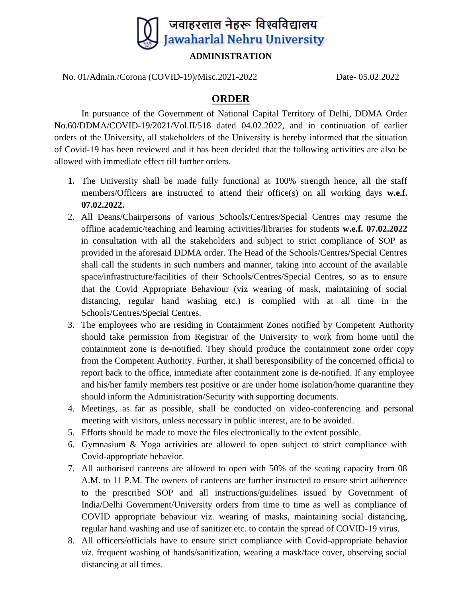

**ADMINISTRATION**

No. 01/Admin./Corona (COVID-19)/Misc.2021-2022 Date- 05.02.2022

## **ORDER**

In pursuance of the Government of National Capital Territory of Delhi, DDMA Order No.60/DDMA/COVID-19/2021/Vol.II/518 dated 04.02.2022, and in continuation of earlier orders of the University, all stakeholders of the University is hereby informed that the situation of Covid-19 has been reviewed and it has been decided that the following activities are also be allowed with immediate effect till further orders.

- **1.** The University shall be made fully functional at 100% strength hence, all the staff members/Officers are instructed to attend their office(s) on all working days **w.e.f. 07.02.2022.**
- 2. All Deans/Chairpersons of various Schools/Centres/Special Centres may resume the offline academic/teaching and learning activities/libraries for students **w.e.f. 07.02.2022** in consultation with all the stakeholders and subject to strict compliance of SOP as provided in the aforesaid DDMA order. The Head of the Schools/Centres/Special Centres shall call the students in such numbers and manner, taking into account of the available space/infrastructure/facilities of their Schools/Centres/Special Centres, so as to ensure that the Covid Appropriate Behaviour (viz wearing of mask, maintaining of social distancing, regular hand washing etc.) is complied with at all time in the Schools/Centres/Special Centres.
- 3. The employees who are residing in Containment Zones notified by Competent Authority should take permission from Registrar of the University to work from home until the containment zone is de-notified. They should produce the containment zone order copy from the Competent Authority. Further, it shall beresponsibility of the concerned official to report back to the office, immediate after containment zone is de-notified. If any employee and his/her family members test positive or are under home isolation/home quarantine they should inform the Administration/Security with supporting documents.
- 4. Meetings, as far as possible, shall be conducted on video-conferencing and personal meeting with visitors, unless necessary in public interest, are to be avoided.
- 5. Efforts should be made to move the files electronically to the extent possible.
- 6. Gymnasium & Yoga activities are allowed to open subject to strict compliance with Covid-appropriate behavior.
- 7. All authorised canteens are allowed to open with 50% of the seating capacity from 08 A.M. to 11 P.M. The owners of canteens are further instructed to ensure strict adherence to the prescribed SOP and all instructions/guidelines issued by Government of India/Delhi Government/University orders from time to time as well as compliance of COVID appropriate behaviour viz. wearing of masks, maintaining social distancing, regular hand washing and use of sanitizer etc. to contain the spread of COVID-19 virus.
- 8. All officers/officials have to ensure strict compliance with Covid-appropriate behavior *viz.* frequent washing of hands/sanitization, wearing a mask/face cover, observing social distancing at all times.